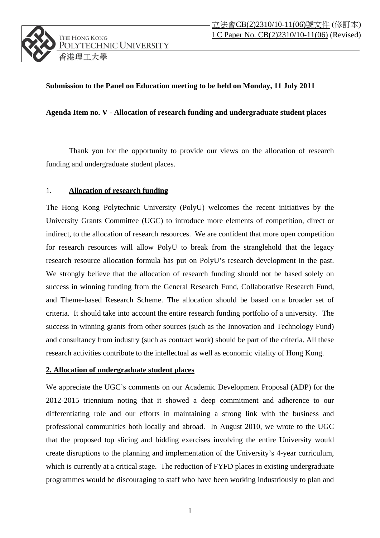## **Submission to the Panel on Education meeting to be held on Monday, 11 July 2011**

## **Agenda Item no. V - Allocation of research funding and undergraduate student places**

Thank you for the opportunity to provide our views on the allocation of research funding and undergraduate student places.

## 1. **Allocation of research funding**

The Hong Kong Polytechnic University (PolyU) welcomes the recent initiatives by the University Grants Committee (UGC) to introduce more elements of competition, direct or indirect, to the allocation of research resources. We are confident that more open competition for research resources will allow PolyU to break from the stranglehold that the legacy research resource allocation formula has put on PolyU's research development in the past. We strongly believe that the allocation of research funding should not be based solely on success in winning funding from the General Research Fund, Collaborative Research Fund, and Theme-based Research Scheme. The allocation should be based on a broader set of criteria. It should take into account the entire research funding portfolio of a university. The success in winning grants from other sources (such as the Innovation and Technology Fund) and consultancy from industry (such as contract work) should be part of the criteria. All these research activities contribute to the intellectual as well as economic vitality of Hong Kong.

## **2. Allocation of undergraduate student places**

We appreciate the UGC's comments on our Academic Development Proposal (ADP) for the 2012-2015 triennium noting that it showed a deep commitment and adherence to our differentiating role and our efforts in maintaining a strong link with the business and professional communities both locally and abroad. In August 2010, we wrote to the UGC that the proposed top slicing and bidding exercises involving the entire University would create disruptions to the planning and implementation of the University's 4-year curriculum, which is currently at a critical stage. The reduction of FYFD places in existing undergraduate programmes would be discouraging to staff who have been working industriously to plan and